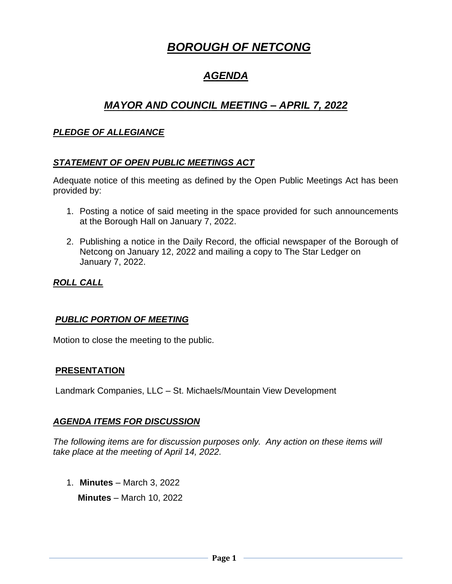# *BOROUGH OF NETCONG*

# *AGENDA*

# *MAYOR AND COUNCIL MEETING – APRIL 7, 2022*

# *PLEDGE OF ALLEGIANCE*

#### *STATEMENT OF OPEN PUBLIC MEETINGS ACT*

Adequate notice of this meeting as defined by the Open Public Meetings Act has been provided by:

- 1. Posting a notice of said meeting in the space provided for such announcements at the Borough Hall on January 7, 2022.
- 2. Publishing a notice in the Daily Record, the official newspaper of the Borough of Netcong on January 12, 2022 and mailing a copy to The Star Ledger on January 7, 2022.

# *ROLL CALL*

#### *PUBLIC PORTION OF MEETING*

Motion to close the meeting to the public.

#### **PRESENTATION**

Landmark Companies, LLC – St. Michaels/Mountain View Development

#### *AGENDA ITEMS FOR DISCUSSION*

*The following items are for discussion purposes only. Any action on these items will take place at the meeting of April 14, 2022.* 

1. **Minutes** – March 3, 2022

 **Minutes** – March 10, 2022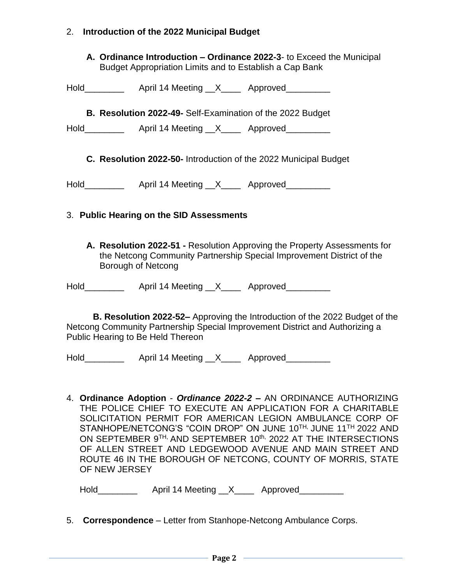# 2. **Introduction of the 2022 Municipal Budget**

**A. Ordinance Introduction – Ordinance 2022-3**- to Exceed the Municipal Budget Appropriation Limits and to Establish a Cap Bank

| Hold | April 14 Meeting | Approved |
|------|------------------|----------|
|      |                  |          |

**B. Resolution 2022-49-** Self-Examination of the 2022 Budget

Hold\_\_\_\_\_\_\_\_\_\_\_\_ April 14 Meeting \_\_X\_\_\_\_\_ Approved\_\_\_\_\_\_\_\_\_

**C. Resolution 2022-50-** Introduction of the 2022 Municipal Budget

Hold **April 14 Meeting X** Approved

# 3. **Public Hearing on the SID Assessments**

**A. Resolution 2022-51 -** Resolution Approving the Property Assessments for the Netcong Community Partnership Special Improvement District of the Borough of Netcong

Hold **April 14 Meeting X** Approved

**B. Resolution 2022-52–** Approving the Introduction of the 2022 Budget of the Netcong Community Partnership Special Improvement District and Authorizing a Public Hearing to Be Held Thereon

Hold Fore April 14 Meeting X Approved

4. **Ordinance Adoption** - *Ordinance 2022-2 –* AN ORDINANCE AUTHORIZING THE POLICE CHIEF TO EXECUTE AN APPLICATION FOR A CHARITABLE SOLICITATION PERMIT FOR AMERICAN LEGION AMBULANCE CORP OF STANHOPE/NETCONG'S "COIN DROP" ON JUNE 10TH, JUNE 11TH 2022 AND ON SEPTEMBER 9<sup>TH,</sup> AND SEPTEMBER 10<sup>th,</sup> 2022 AT THE INTERSECTIONS OF ALLEN STREET AND LEDGEWOOD AVENUE AND MAIN STREET AND ROUTE 46 IN THE BOROUGH OF NETCONG, COUNTY OF MORRIS, STATE OF NEW JERSEY

| Hold | April 14 Meeting |  | Approved |
|------|------------------|--|----------|
|------|------------------|--|----------|

5. **Correspondence** – Letter from Stanhope-Netcong Ambulance Corps.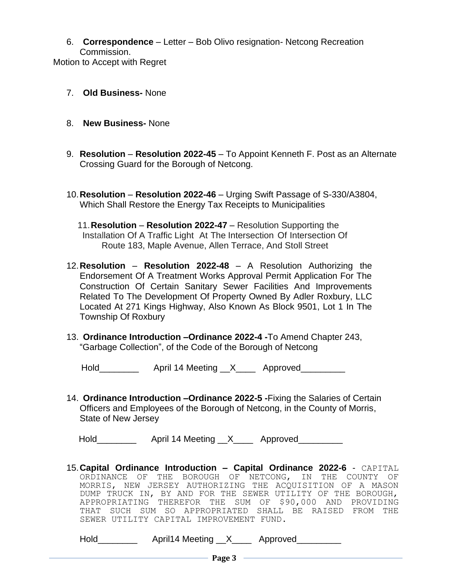6. **Correspondence** – Letter – Bob Olivo resignation- Netcong Recreation Commission.

Motion to Accept with Regret

- 7. **Old Business-** None
- 8. **New Business-** None
- 9. **Resolution Resolution 2022-45** To Appoint Kenneth F. Post as an Alternate Crossing Guard for the Borough of Netcong.
- 10.**Resolution Resolution 2022-46** Urging Swift Passage of S-330/A3804, Which Shall Restore the Energy Tax Receipts to Municipalities
	- 11.**Resolution Resolution 2022-47** Resolution Supporting the Installation Of A Traffic Light At The Intersection Of Intersection Of Route 183, Maple Avenue, Allen Terrace, And Stoll Street
- 12.**Resolution Resolution 2022-48** A Resolution Authorizing the Endorsement Of A Treatment Works Approval Permit Application For The Construction Of Certain Sanitary Sewer Facilities And Improvements Related To The Development Of Property Owned By Adler Roxbury, LLC Located At 271 Kings Highway, Also Known As Block 9501, Lot 1 In The Township Of Roxbury
- 13. **Ordinance Introduction –Ordinance 2022-4 -**To Amend Chapter 243, "Garbage Collection", of the Code of the Borough of Netcong

Hold\_\_\_\_\_\_\_\_\_\_\_\_\_\_ April 14 Meeting \_\_X\_\_\_\_\_\_ Approved\_\_\_\_\_\_\_\_\_\_

14. **Ordinance Introduction –Ordinance 2022-5 -**Fixing the Salaries of Certain Officers and Employees of the Borough of Netcong, in the County of Morris, State of New Jersey

Hold **April 14 Meeting X** Approved

15.**Capital Ordinance Introduction – Capital Ordinance 2022-6** - CAPITAL ORDINANCE OF THE BOROUGH OF NETCONG, IN THE COUNTY OF MORRIS, NEW JERSEY AUTHORIZING THE ACQUISITION OF A MASON DUMP TRUCK IN, BY AND FOR THE SEWER UTILITY OF THE BOROUGH, APPROPRIATING THEREFOR THE SUM OF \$90,000 AND PROVIDING THAT SUCH SUM SO APPROPRIATED SHALL BE RAISED FROM THE SEWER UTILITY CAPITAL IMPROVEMENT FUND.

Hold\_\_\_\_\_\_\_\_\_\_\_\_\_ April14 Meeting \_\_X\_\_\_\_\_ Approved\_\_\_\_\_\_\_\_\_\_